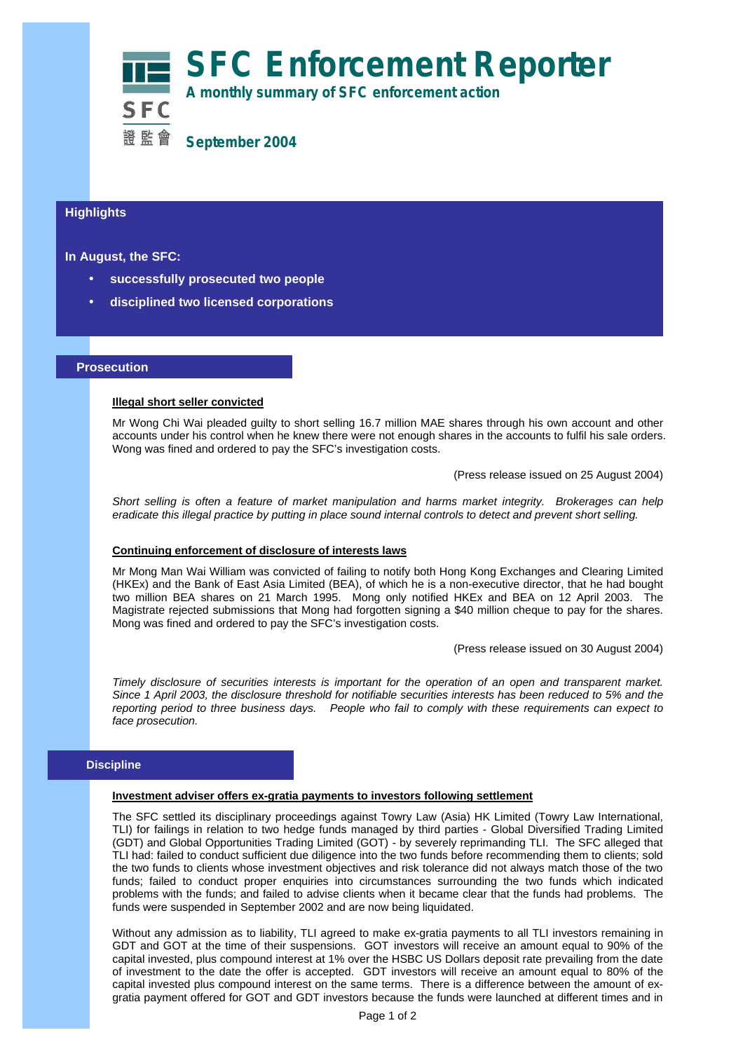# **SFC Enforcement Reporter A monthly summary of SFC enforcement action**



**September 2004**

#### **Highlights Highlights**

## **In August, the SFC:**

- **successfully prosecuted two people**
- **disciplined two licensed corporations**

### **Prosecution**

ß

### **Illegal short seller convicted**

Mr Wong Chi Wai pleaded guilty to short selling 16.7 million MAE shares through his own account and other accounts under his control when he knew there were not enough shares in the accounts to fulfil his sale orders. Wong was fined and ordered to pay the SFC's investigation costs.

(Press release issued on 25 August 2004)

*Short selling is often a feature of market manipulation and harms market integrity. Brokerages can help eradicate this illegal practice by putting in place sound internal controls to detect and prevent short selling.*

#### **Continuing enforcement of disclosure of interests laws**

Mr Mong Man Wai William was convicted of failing to notify both Hong Kong Exchanges and Clearing Limited (HKEx) and the Bank of East Asia Limited (BEA), of which he is a non-executive director, that he had bought two million BEA shares on 21 March 1995. Mong only notified HKEx and BEA on 12 April 2003. The Magistrate rejected submissions that Mong had forgotten signing a \$40 million cheque to pay for the shares. Mong was fined and ordered to pay the SFC's investigation costs.

(Press release issued on 30 August 2004)

*Timely disclosure of securities interests is important for the operation of an open and transparent market. Since 1 April 2003, the disclosure threshold for notifiable securities interests has been reduced to 5% and the reporting period to three business days. People who fail to comply with these requirements can expect to face prosecution.*

#### **Discipline**

#### **Investment adviser offers ex-gratia payments to investors following settlement**

The SFC settled its disciplinary proceedings against Towry Law (Asia) HK Limited (Towry Law International, TLI) for failings in relation to two hedge funds managed by third parties - Global Diversified Trading Limited (GDT) and Global Opportunities Trading Limited (GOT) - by severely reprimanding TLI. The SFC alleged that TLI had: failed to conduct sufficient due diligence into the two funds before recommending them to clients; sold the two funds to clients whose investment objectives and risk tolerance did not always match those of the two funds; failed to conduct proper enquiries into circumstances surrounding the two funds which indicated problems with the funds; and failed to advise clients when it became clear that the funds had problems. The funds were suspended in September 2002 and are now being liquidated.

Without any admission as to liability, TLI agreed to make ex-gratia payments to all TLI investors remaining in GDT and GOT at the time of their suspensions. GOT investors will receive an amount equal to 90% of the capital invested, plus compound interest at 1% over the HSBC US Dollars deposit rate prevailing from the date of investment to the date the offer is accepted. GDT investors will receive an amount equal to 80% of the capital invested plus compound interest on the same terms. There is a difference between the amount of exgratia payment offered for GOT and GDT investors because the funds were launched at different times and in